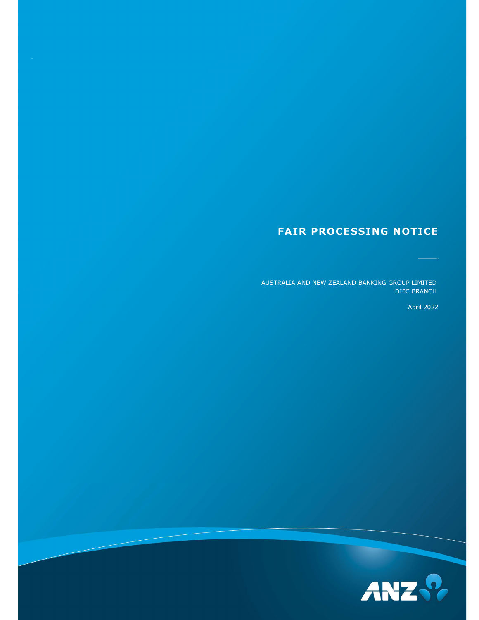# FAIR PROCESSING NOTICE

AUSTRALIA AND NEW ZEALAND BANKING GROUP LIMITED DIFC BRANCH

April 2022

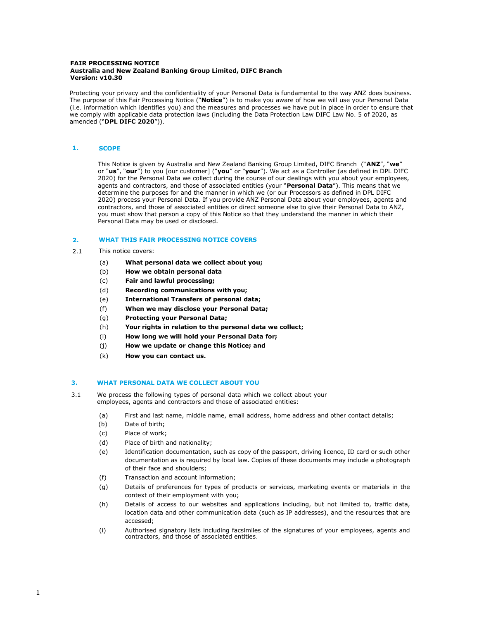#### FAIR PROCESSING NOTICE Australia and New Zealand Banking Group Limited, DIFC Branch Version: v10.30

Protecting your privacy and the confidentiality of your Personal Data is fundamental to the way ANZ does business. The purpose of this Fair Processing Notice ("Notice") is to make you aware of how we will use your Personal Data (i.e. information which identifies you) and the measures and processes we have put in place in order to ensure that we comply with applicable data protection laws (including the Data Protection Law DIFC Law No. 5 of 2020, as amended ("DPL DIFC 2020")).

# 1. SCOPE

This Notice is given by Australia and New Zealand Banking Group Limited, DIFC Branch ("ANZ", "we" or "us", "our") to you [our customer] ("you" or "your"). We act as a Controller (as defined in DPL DIFC 2020) for the Personal Data we collect during the course of our dealings with you about your employees, agents and contractors, and those of associated entities (your "Personal Data"). This means that we determine the purposes for and the manner in which we (or our Processors as defined in DPL DIFC 2020) process your Personal Data. If you provide ANZ Personal Data about your employees, agents and contractors, and those of associated entities or direct someone else to give their Personal Data to ANZ, you must show that person a copy of this Notice so that they understand the manner in which their Personal Data may be used or disclosed.

#### 2. WHAT THIS FAIR PROCESSING NOTICE COVERS

- 2.1 This notice covers:
	- (a) What personal data we collect about you;
	- (b) How we obtain personal data
	- (c) Fair and lawful processing;
	- (d) Recording communications with you;
	- (e) International Transfers of personal data;
	- (f) When we may disclose your Personal Data;
	- (g) Protecting your Personal Data;
	- (h) Your rights in relation to the personal data we collect;
	- (i) How long we will hold your Personal Data for;
	- (j) How we update or change this Notice; and
	- (k) How you can contact us.

### 3. WHAT PERSONAL DATA WE COLLECT ABOUT YOU

- 3.1 We process the following types of personal data which we collect about your employees, agents and contractors and those of associated entities:
	- (a) First and last name, middle name, email address, home address and other contact details;
	- (b) Date of birth;
	- (c) Place of work;
	- (d) Place of birth and nationality;
	- (e) Identification documentation, such as copy of the passport, driving licence, ID card or such other documentation as is required by local law. Copies of these documents may include a photograph of their face and shoulders;
	- (f) Transaction and account information;
	- (g) Details of preferences for types of products or services, marketing events or materials in the context of their employment with you;
	- (h) Details of access to our websites and applications including, but not limited to, traffic data, location data and other communication data (such as IP addresses), and the resources that are accessed;
	- (i) Authorised signatory lists including facsimiles of the signatures of your employees, agents and contractors, and those of associated entities.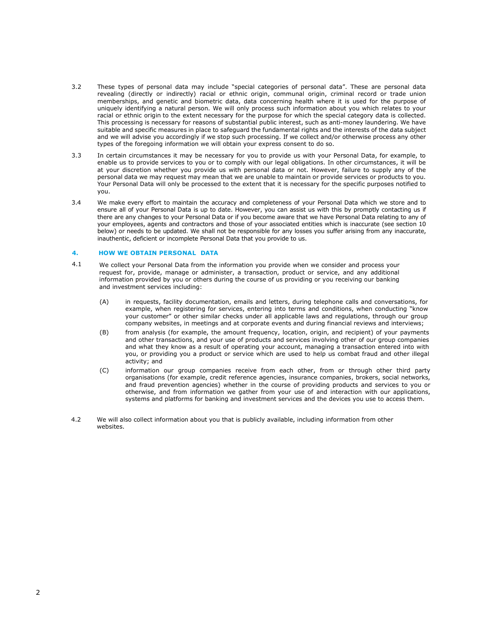- 3.2 These types of personal data may include "special categories of personal data". These are personal data revealing (directly or indirectly) racial or ethnic origin, communal origin, criminal record or trade union memberships, and genetic and biometric data, data concerning health where it is used for the purpose of uniquely identifying a natural person. We will only process such information about you which relates to your racial or ethnic origin to the extent necessary for the purpose for which the special category data is collected. This processing is necessary for reasons of substantial public interest, such as anti-money laundering. We have suitable and specific measures in place to safeguard the fundamental rights and the interests of the data subject and we will advise you accordingly if we stop such processing. If we collect and/or otherwise process any other types of the foregoing information we will obtain your express consent to do so.
- 3.3 In certain circumstances it may be necessary for you to provide us with your Personal Data, for example, to enable us to provide services to you or to comply with our legal obligations. In other circumstances, it will be at your discretion whether you provide us with personal data or not. However, failure to supply any of the personal data we may request may mean that we are unable to maintain or provide services or products to you. Your Personal Data will only be processed to the extent that it is necessary for the specific purposes notified to you.
- 3.4 We make every effort to maintain the accuracy and completeness of your Personal Data which we store and to ensure all of your Personal Data is up to date. However, you can assist us with this by promptly contacting us if there are any changes to your Personal Data or if you become aware that we have Personal Data relating to any of your employees, agents and contractors and those of your associated entities which is inaccurate (see section 10 below) or needs to be updated. We shall not be responsible for any losses you suffer arising from any inaccurate, inauthentic, deficient or incomplete Personal Data that you provide to us.

#### 4. HOW WE OBTAIN PERSONAL DATA

- 4.1 We collect your Personal Data from the information you provide when we consider and process your request for, provide, manage or administer, a transaction, product or service, and any additional information provided by you or others during the course of us providing or you receiving our banking and investment services including:
	- (A) in requests, facility documentation, emails and letters, during telephone calls and conversations, for example, when registering for services, entering into terms and conditions, when conducting "know your customer" or other similar checks under all applicable laws and regulations, through our group company websites, in meetings and at corporate events and during financial reviews and interviews;
	- (B) from analysis (for example, the amount frequency, location, origin, and recipient) of your payments and other transactions, and your use of products and services involving other of our group companies and what they know as a result of operating your account, managing a transaction entered into with you, or providing you a product or service which are used to help us combat fraud and other illegal activity; and
	- (C) information our group companies receive from each other, from or through other third party organisations (for example, credit reference agencies, insurance companies, brokers, social networks, and fraud prevention agencies) whether in the course of providing products and services to you or otherwise, and from information we gather from your use of and interaction with our applications, systems and platforms for banking and investment services and the devices you use to access them.
- 4.2 We will also collect information about you that is publicly available, including information from other websites.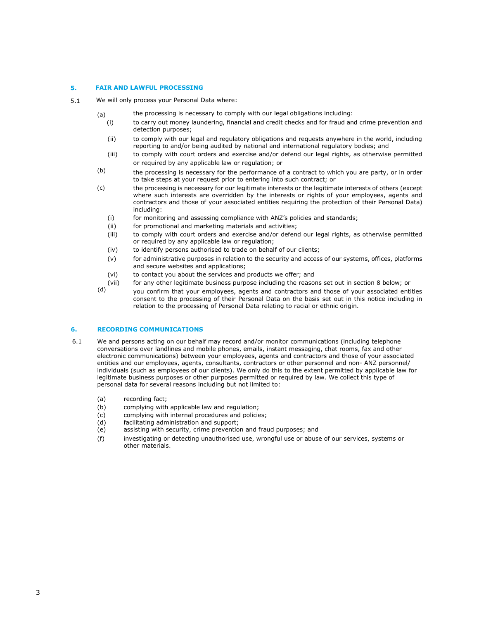#### 5. FAIR AND LAWFUL PROCESSING

- 5.1 We will only process your Personal Data where:
	- (a) the processing is necessary to comply with our legal obligations including:
		- (i) to carry out money laundering, financial and credit checks and for fraud and crime prevention and detection purposes;
		- (ii) to comply with our legal and regulatory obligations and requests anywhere in the world, including reporting to and/or being audited by national and international regulatory bodies; and
		- (iii) to comply with court orders and exercise and/or defend our legal rights, as otherwise permitted or required by any applicable law or regulation; or
	- the processing is necessary for the performance of a contract to which you are party, or in order to take steps at your request prior to entering into such contract; or (b)
	- the processing is necessary for our legitimate interests or the legitimate interests of others (except where such interests are overridden by the interests or rights of your employees, agents and contractors and those of your associated entities requiring the protection of their Personal Data) including: (c)
		- (i) for monitoring and assessing compliance with ANZ's policies and standards;
		- (ii) for promotional and marketing materials and activities:
		- (iii) to comply with court orders and exercise and/or defend our legal rights, as otherwise permitted or required by any applicable law or regulation;
		- (iv) to identify persons authorised to trade on behalf of our clients;
		- (v) for administrative purposes in relation to the security and access of our systems, offices, platforms and secure websites and applications;
		- (vi) to contact you about the services and products we offer; and
		- (vii) for any other legitimate business purpose including the reasons set out in section 8 below; or
	- you confirm that your employees, agents and contractors and those of your associated entities consent to the processing of their Personal Data on the basis set out in this notice including in relation to the processing of Personal Data relating to racial or ethnic origin. (d)

## 6. RECORDING COMMUNICATIONS

- 6.1 We and persons acting on our behalf may record and/or monitor communications (including telephone conversations over landlines and mobile phones, emails, instant messaging, chat rooms, fax and other electronic communications) between your employees, agents and contractors and those of your associated entities and our employees, agents, consultants, contractors or other personnel and non- ANZ personnel/ individuals (such as employees of our clients). We only do this to the extent permitted by applicable law for legitimate business purposes or other purposes permitted or required by law. We collect this type of personal data for several reasons including but not limited to:
	- (a) recording fact;
	- (b) complying with applicable law and regulation;
	- (c) complying with internal procedures and policies;
	- (d) facilitating administration and support;
	- (e) assisting with security, crime prevention and fraud purposes; and
	- (f) investigating or detecting unauthorised use, wrongful use or abuse of our services, systems or other materials.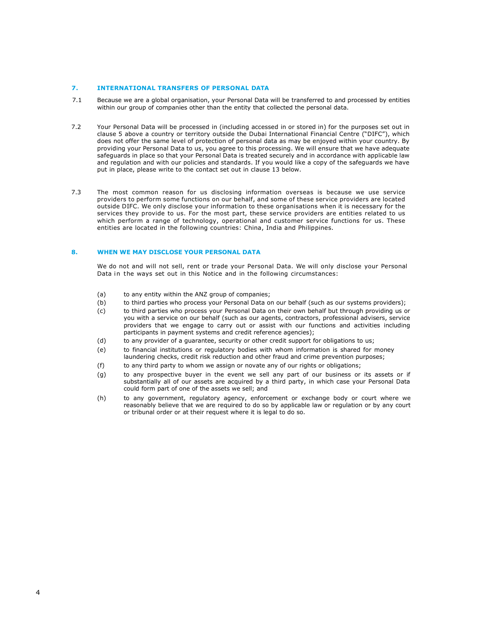### 7. INTERNATIONAL TRANSFERS OF PERSONAL DATA

- 7.1 Because we are a global organisation, your Personal Data will be transferred to and processed by entities within our group of companies other than the entity that collected the personal data.
- 7.2 Your Personal Data will be processed in (including accessed in or stored in) for the purposes set out in clause 5 above a country or territory outside the Dubai International Financial Centre ("DIFC"), which does not offer the same level of protection of personal data as may be enjoyed within your country. By providing your Personal Data to us, you agree to this processing. We will ensure that we have adequate safeguards in place so that your Personal Data is treated securely and in accordance with applicable law and regulation and with our policies and standards. If you would like a copy of the safeguards we have put in place, please write to the contact set out in clause 13 below.
- 7.3 The most common reason for us disclosing information overseas is because we use service providers to perform some functions on our behalf, and some of these service providers are located outside DIFC. We only disclose your information to these organisations when it is necessary for the services they provide to us. For the most part, these service providers are entities related to us which perform a range of technology, operational and customer service functions for us. These entities are located in the following countries: China, India and Philippines.

### 8. WHEN WE MAY DISCLOSE YOUR PERSONAL DATA

We do not and will not sell, rent or trade your Personal Data. We will only disclose your Personal Data in the ways set out in this Notice and in the following circumstances:

- (a) to any entity within the ANZ group of companies;
- (b) to third parties who process your Personal Data on our behalf (such as our systems providers);
- (c) to third parties who process your Personal Data on their own behalf but through providing us or you with a service on our behalf (such as our agents, contractors, professional advisers, service providers that we engage to carry out or assist with our functions and activities including participants in payment systems and credit reference agencies);
- (d) to any provider of a guarantee, security or other credit support for obligations to us;
- (e) to financial institutions or regulatory bodies with whom information is shared for money laundering checks, credit risk reduction and other fraud and crime prevention purposes;
- (f) to any third party to whom we assign or novate any of our rights or obligations;
- (g) to any prospective buyer in the event we sell any part of our business or its assets or if substantially all of our assets are acquired by a third party, in which case your Personal Data could form part of one of the assets we sell; and
- (h) to any government, regulatory agency, enforcement or exchange body or court where we reasonably believe that we are required to do so by applicable law or regulation or by any court or tribunal order or at their request where it is legal to do so.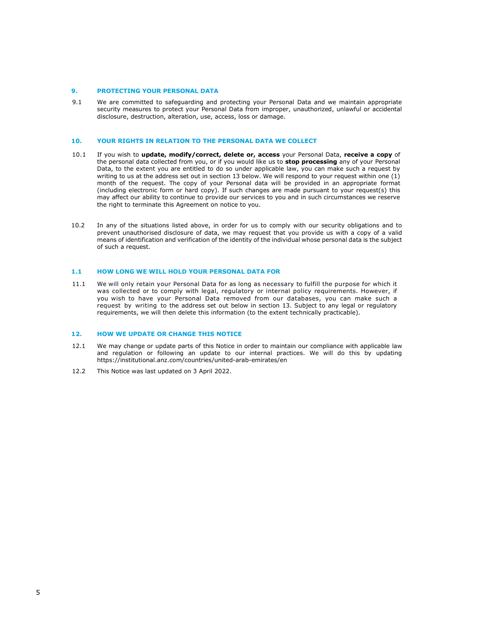#### 9. PROTECTING YOUR PERSONAL DATA

9.1 We are committed to safeguarding and protecting your Personal Data and we maintain appropriate security measures to protect your Personal Data from improper, unauthorized, unlawful or accidental disclosure, destruction, alteration, use, access, loss or damage.

#### 10. YOUR RIGHTS IN RELATION TO THE PERSONAL DATA WE COLLECT

- 10.1 If you wish to update, modify/correct, delete or, access your Personal Data, receive a copy of the personal data collected from you, or if you would like us to stop processing any of your Personal Data, to the extent you are entitled to do so under applicable law, you can make such a request by writing to us at the address set out in section 13 below. We will respond to your request within one (1) month of the request. The copy of your Personal data will be provided in an appropriate format (including electronic form or hard copy). If such changes are made pursuant to your request(s) this may affect our ability to continue to provide our services to you and in such circumstances we reserve the right to terminate this Agreement on notice to you.
- 10.2 In any of the situations listed above, in order for us to comply with our security obligations and to prevent unauthorised disclosure of data, we may request that you provide us with a copy of a valid means of identification and verification of the identity of the individual whose personal data is the subject of such a request.

#### 1.1 HOW LONG WE WILL HOLD YOUR PERSONAL DATA FOR

11.1 We will only retain your Personal Data for as long as necessary to fulfill the purpose for which it was collected or to comply with legal, regulatory or internal policy requirements. However, if you wish to have your Personal Data removed from our databases, you can make such a request by writing to the address set out below in section 13. Subject to any legal or regulatory requirements, we will then delete this information (to the extent technically practicable).

#### 12. HOW WE UPDATE OR CHANGE THIS NOTICE

- 12.1 We may change or update parts of this Notice in order to maintain our compliance with applicable law and regulation or following an update to our internal practices. We will do this by updating https://institutional.anz.com/countries/united-arab-emirates/en
- 12.2 This Notice was last updated on 3 April 2022.